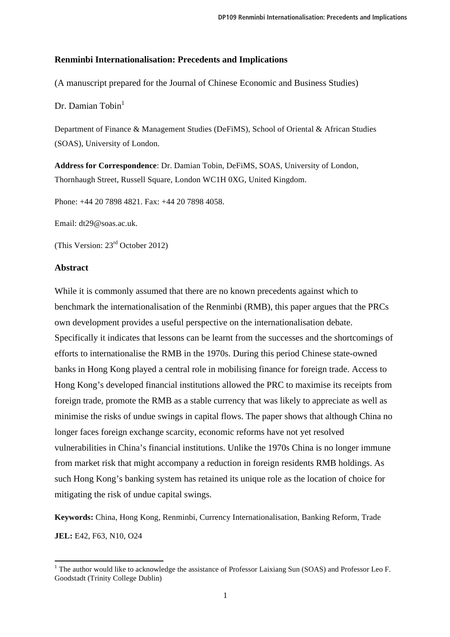#### **Renminbi Internationalisation: Precedents and Implications**

(A manuscript prepared for the Journal of Chinese Economic and Business Studies)

# Dr. Damian Tobin<sup>1</sup>

Department of Finance & Management Studies (DeFiMS), School of Oriental & African Studies (SOAS), University of London.

**Address for Correspondence**: Dr. Damian Tobin, DeFiMS, SOAS, University of London, Thornhaugh Street, Russell Square, London WC1H 0XG, United Kingdom.

Phone: +44 20 7898 4821. Fax: +44 20 7898 4058.

Email: dt29@soas.ac.uk.

(This Version: 23rd October 2012)

<u> 1989 - Johann Stein, fransk politik (d. 1989)</u>

#### **Abstract**

While it is commonly assumed that there are no known precedents against which to benchmark the internationalisation of the Renminbi (RMB), this paper argues that the PRCs own development provides a useful perspective on the internationalisation debate. Specifically it indicates that lessons can be learnt from the successes and the shortcomings of efforts to internationalise the RMB in the 1970s. During this period Chinese state-owned banks in Hong Kong played a central role in mobilising finance for foreign trade. Access to Hong Kong's developed financial institutions allowed the PRC to maximise its receipts from foreign trade, promote the RMB as a stable currency that was likely to appreciate as well as minimise the risks of undue swings in capital flows. The paper shows that although China no longer faces foreign exchange scarcity, economic reforms have not yet resolved vulnerabilities in China's financial institutions. Unlike the 1970s China is no longer immune from market risk that might accompany a reduction in foreign residents RMB holdings. As such Hong Kong's banking system has retained its unique role as the location of choice for mitigating the risk of undue capital swings.

**Keywords:** China, Hong Kong, Renminbi, Currency Internationalisation, Banking Reform, Trade **JEL:** E42, F63, N10, O24

<sup>&</sup>lt;sup>1</sup> The author would like to acknowledge the assistance of Professor Laixiang Sun (SOAS) and Professor Leo F. Goodstadt (Trinity College Dublin)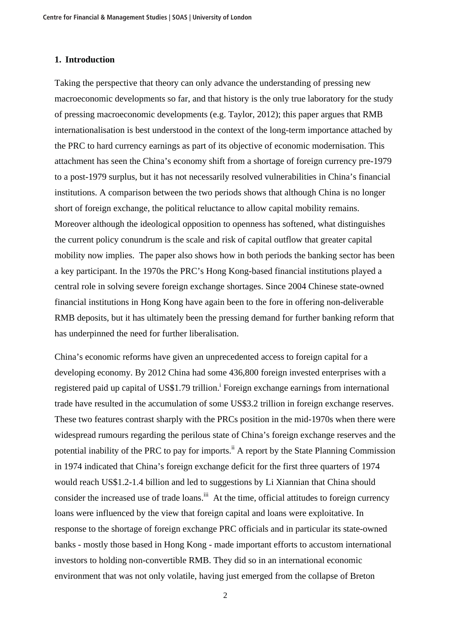### **1. Introduction**

Taking the perspective that theory can only advance the understanding of pressing new macroeconomic developments so far, and that history is the only true laboratory for the study of pressing macroeconomic developments (e.g. Taylor, 2012); this paper argues that RMB internationalisation is best understood in the context of the long-term importance attached by the PRC to hard currency earnings as part of its objective of economic modernisation. This attachment has seen the China's economy shift from a shortage of foreign currency pre-1979 to a post-1979 surplus, but it has not necessarily resolved vulnerabilities in China's financial institutions. A comparison between the two periods shows that although China is no longer short of foreign exchange, the political reluctance to allow capital mobility remains. Moreover although the ideological opposition to openness has softened, what distinguishes the current policy conundrum is the scale and risk of capital outflow that greater capital mobility now implies. The paper also shows how in both periods the banking sector has been a key participant. In the 1970s the PRC's Hong Kong-based financial institutions played a central role in solving severe foreign exchange shortages. Since 2004 Chinese state-owned financial institutions in Hong Kong have again been to the fore in offering non-deliverable RMB deposits, but it has ultimately been the pressing demand for further banking reform that has underpinned the need for further liberalisation.

China's economic reforms have given an unprecedented access to foreign capital for a developing economy. By 2012 China had some 436,800 foreign invested enterprises with a registered paid up capital of US\$1.79 trillion.<sup>i</sup> Foreign exchange earnings from international trade have resulted in the accumulation of some US\$3.2 trillion in foreign exchange reserves. These two features contrast sharply with the PRCs position in the mid-1970s when there were widespread rumours regarding the perilous state of China's foreign exchange reserves and the potential inability of the PRC to pay for imports.<sup>ii</sup> A report by the State Planning Commission in 1974 indicated that China's foreign exchange deficit for the first three quarters of 1974 would reach US\$1.2-1.4 billion and led to suggestions by Li Xiannian that China should consider the increased use of trade loans.<sup>iii</sup> At the time, official attitudes to foreign currency loans were influenced by the view that foreign capital and loans were exploitative. In response to the shortage of foreign exchange PRC officials and in particular its state-owned banks - mostly those based in Hong Kong - made important efforts to accustom international investors to holding non-convertible RMB. They did so in an international economic environment that was not only volatile, having just emerged from the collapse of Breton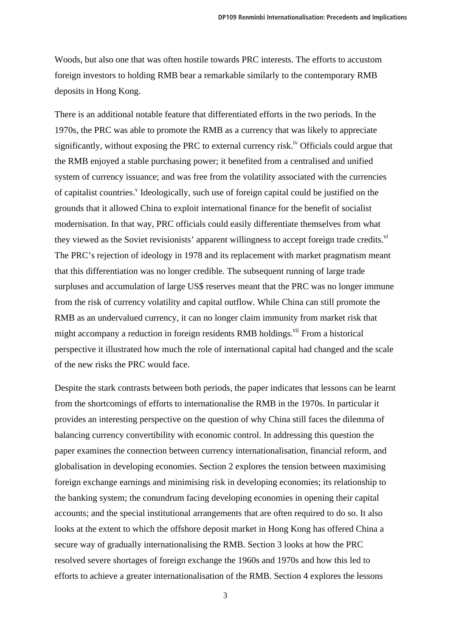Woods, but also one that was often hostile towards PRC interests. The efforts to accustom foreign investors to holding RMB bear a remarkable similarly to the contemporary RMB deposits in Hong Kong.

There is an additional notable feature that differentiated efforts in the two periods. In the 1970s, the PRC was able to promote the RMB as a currency that was likely to appreciate significantly, without exposing the PRC to external currency risk.<sup>iv</sup> Officials could argue that the RMB enjoyed a stable purchasing power; it benefited from a centralised and unified system of currency issuance; and was free from the volatility associated with the currencies of capitalist countries.<sup>V</sup> Ideologically, such use of foreign capital could be justified on the grounds that it allowed China to exploit international finance for the benefit of socialist modernisation. In that way, PRC officials could easily differentiate themselves from what they viewed as the Soviet revisionists' apparent willingness to accept foreign trade credits.<sup>vi</sup> The PRC's rejection of ideology in 1978 and its replacement with market pragmatism meant that this differentiation was no longer credible. The subsequent running of large trade surpluses and accumulation of large US\$ reserves meant that the PRC was no longer immune from the risk of currency volatility and capital outflow. While China can still promote the RMB as an undervalued currency, it can no longer claim immunity from market risk that might accompany a reduction in foreign residents RMB holdings.<sup>vii</sup> From a historical perspective it illustrated how much the role of international capital had changed and the scale of the new risks the PRC would face.

Despite the stark contrasts between both periods, the paper indicates that lessons can be learnt from the shortcomings of efforts to internationalise the RMB in the 1970s. In particular it provides an interesting perspective on the question of why China still faces the dilemma of balancing currency convertibility with economic control. In addressing this question the paper examines the connection between currency internationalisation, financial reform, and globalisation in developing economies. Section 2 explores the tension between maximising foreign exchange earnings and minimising risk in developing economies; its relationship to the banking system; the conundrum facing developing economies in opening their capital accounts; and the special institutional arrangements that are often required to do so. It also looks at the extent to which the offshore deposit market in Hong Kong has offered China a secure way of gradually internationalising the RMB. Section 3 looks at how the PRC resolved severe shortages of foreign exchange the 1960s and 1970s and how this led to efforts to achieve a greater internationalisation of the RMB. Section 4 explores the lessons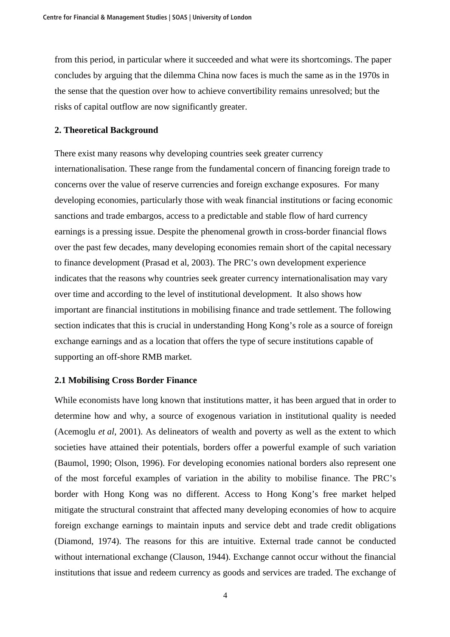from this period, in particular where it succeeded and what were its shortcomings. The paper concludes by arguing that the dilemma China now faces is much the same as in the 1970s in the sense that the question over how to achieve convertibility remains unresolved; but the risks of capital outflow are now significantly greater.

### **2. Theoretical Background**

There exist many reasons why developing countries seek greater currency internationalisation. These range from the fundamental concern of financing foreign trade to concerns over the value of reserve currencies and foreign exchange exposures. For many developing economies, particularly those with weak financial institutions or facing economic sanctions and trade embargos, access to a predictable and stable flow of hard currency earnings is a pressing issue. Despite the phenomenal growth in cross-border financial flows over the past few decades, many developing economies remain short of the capital necessary to finance development (Prasad et al, 2003). The PRC's own development experience indicates that the reasons why countries seek greater currency internationalisation may vary over time and according to the level of institutional development. It also shows how important are financial institutions in mobilising finance and trade settlement. The following section indicates that this is crucial in understanding Hong Kong's role as a source of foreign exchange earnings and as a location that offers the type of secure institutions capable of supporting an off-shore RMB market.

#### **2.1 Mobilising Cross Border Finance**

While economists have long known that institutions matter, it has been argued that in order to determine how and why, a source of exogenous variation in institutional quality is needed (Acemoglu *et al*, 2001). As delineators of wealth and poverty as well as the extent to which societies have attained their potentials, borders offer a powerful example of such variation (Baumol, 1990; Olson, 1996). For developing economies national borders also represent one of the most forceful examples of variation in the ability to mobilise finance. The PRC's border with Hong Kong was no different. Access to Hong Kong's free market helped mitigate the structural constraint that affected many developing economies of how to acquire foreign exchange earnings to maintain inputs and service debt and trade credit obligations (Diamond, 1974). The reasons for this are intuitive. External trade cannot be conducted without international exchange (Clauson, 1944). Exchange cannot occur without the financial institutions that issue and redeem currency as goods and services are traded. The exchange of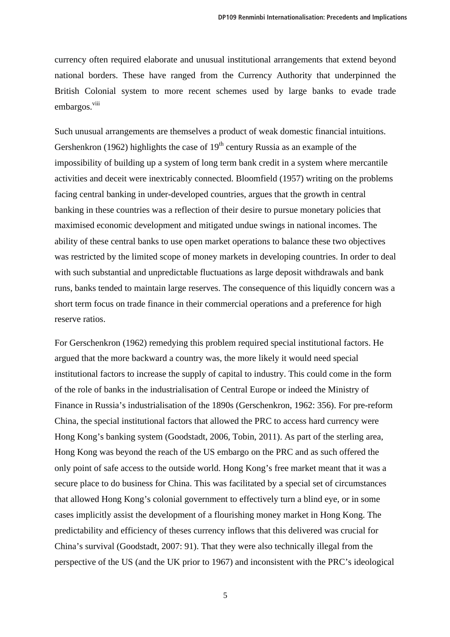currency often required elaborate and unusual institutional arrangements that extend beyond national borders. These have ranged from the Currency Authority that underpinned the British Colonial system to more recent schemes used by large banks to evade trade embargos.<sup>viii</sup>

Such unusual arrangements are themselves a product of weak domestic financial intuitions. Gershenkron (1962) highlights the case of  $19<sup>th</sup>$  century Russia as an example of the impossibility of building up a system of long term bank credit in a system where mercantile activities and deceit were inextricably connected. Bloomfield (1957) writing on the problems facing central banking in under-developed countries, argues that the growth in central banking in these countries was a reflection of their desire to pursue monetary policies that maximised economic development and mitigated undue swings in national incomes. The ability of these central banks to use open market operations to balance these two objectives was restricted by the limited scope of money markets in developing countries. In order to deal with such substantial and unpredictable fluctuations as large deposit withdrawals and bank runs, banks tended to maintain large reserves. The consequence of this liquidly concern was a short term focus on trade finance in their commercial operations and a preference for high reserve ratios.

For Gerschenkron (1962) remedying this problem required special institutional factors. He argued that the more backward a country was, the more likely it would need special institutional factors to increase the supply of capital to industry. This could come in the form of the role of banks in the industrialisation of Central Europe or indeed the Ministry of Finance in Russia's industrialisation of the 1890s (Gerschenkron, 1962: 356). For pre-reform China, the special institutional factors that allowed the PRC to access hard currency were Hong Kong's banking system (Goodstadt, 2006, Tobin, 2011). As part of the sterling area, Hong Kong was beyond the reach of the US embargo on the PRC and as such offered the only point of safe access to the outside world. Hong Kong's free market meant that it was a secure place to do business for China. This was facilitated by a special set of circumstances that allowed Hong Kong's colonial government to effectively turn a blind eye, or in some cases implicitly assist the development of a flourishing money market in Hong Kong. The predictability and efficiency of theses currency inflows that this delivered was crucial for China's survival (Goodstadt, 2007: 91). That they were also technically illegal from the perspective of the US (and the UK prior to 1967) and inconsistent with the PRC's ideological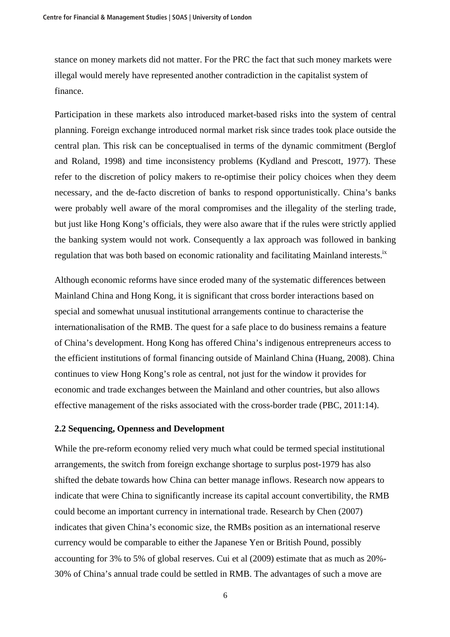stance on money markets did not matter. For the PRC the fact that such money markets were illegal would merely have represented another contradiction in the capitalist system of finance.

Participation in these markets also introduced market-based risks into the system of central planning. Foreign exchange introduced normal market risk since trades took place outside the central plan. This risk can be conceptualised in terms of the dynamic commitment (Berglof and Roland, 1998) and time inconsistency problems (Kydland and Prescott, 1977). These refer to the discretion of policy makers to re-optimise their policy choices when they deem necessary, and the de-facto discretion of banks to respond opportunistically. China's banks were probably well aware of the moral compromises and the illegality of the sterling trade, but just like Hong Kong's officials, they were also aware that if the rules were strictly applied the banking system would not work. Consequently a lax approach was followed in banking regulation that was both based on economic rationality and facilitating Mainland interests.<sup>ix</sup>

Although economic reforms have since eroded many of the systematic differences between Mainland China and Hong Kong, it is significant that cross border interactions based on special and somewhat unusual institutional arrangements continue to characterise the internationalisation of the RMB. The quest for a safe place to do business remains a feature of China's development. Hong Kong has offered China's indigenous entrepreneurs access to the efficient institutions of formal financing outside of Mainland China (Huang, 2008). China continues to view Hong Kong's role as central, not just for the window it provides for economic and trade exchanges between the Mainland and other countries, but also allows effective management of the risks associated with the cross-border trade (PBC, 2011:14).

## **2.2 Sequencing, Openness and Development**

While the pre-reform economy relied very much what could be termed special institutional arrangements, the switch from foreign exchange shortage to surplus post-1979 has also shifted the debate towards how China can better manage inflows. Research now appears to indicate that were China to significantly increase its capital account convertibility, the RMB could become an important currency in international trade. Research by Chen (2007) indicates that given China's economic size, the RMBs position as an international reserve currency would be comparable to either the Japanese Yen or British Pound, possibly accounting for 3% to 5% of global reserves. Cui et al (2009) estimate that as much as 20%- 30% of China's annual trade could be settled in RMB. The advantages of such a move are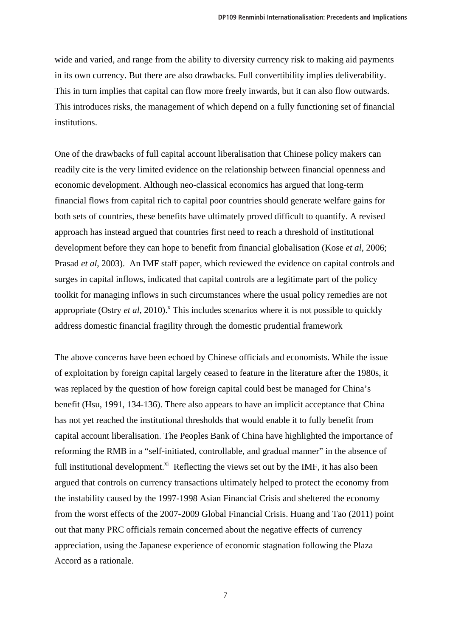wide and varied, and range from the ability to diversity currency risk to making aid payments in its own currency. But there are also drawbacks. Full convertibility implies deliverability. This in turn implies that capital can flow more freely inwards, but it can also flow outwards. This introduces risks, the management of which depend on a fully functioning set of financial institutions.

One of the drawbacks of full capital account liberalisation that Chinese policy makers can readily cite is the very limited evidence on the relationship between financial openness and economic development. Although neo-classical economics has argued that long-term financial flows from capital rich to capital poor countries should generate welfare gains for both sets of countries, these benefits have ultimately proved difficult to quantify. A revised approach has instead argued that countries first need to reach a threshold of institutional development before they can hope to benefit from financial globalisation (Kose *et al*, 2006; Prasad *et al*, 2003). An IMF staff paper, which reviewed the evidence on capital controls and surges in capital inflows, indicated that capital controls are a legitimate part of the policy toolkit for managing inflows in such circumstances where the usual policy remedies are not appropriate (Ostry *et al*, 2010).<sup>x</sup> This includes scenarios where it is not possible to quickly address domestic financial fragility through the domestic prudential framework

The above concerns have been echoed by Chinese officials and economists. While the issue of exploitation by foreign capital largely ceased to feature in the literature after the 1980s, it was replaced by the question of how foreign capital could best be managed for China's benefit (Hsu, 1991, 134-136). There also appears to have an implicit acceptance that China has not yet reached the institutional thresholds that would enable it to fully benefit from capital account liberalisation. The Peoples Bank of China have highlighted the importance of reforming the RMB in a "self-initiated, controllable, and gradual manner" in the absence of full institutional development.<sup>xi</sup> Reflecting the views set out by the IMF, it has also been argued that controls on currency transactions ultimately helped to protect the economy from the instability caused by the 1997-1998 Asian Financial Crisis and sheltered the economy from the worst effects of the 2007-2009 Global Financial Crisis. Huang and Tao (2011) point out that many PRC officials remain concerned about the negative effects of currency appreciation, using the Japanese experience of economic stagnation following the Plaza Accord as a rationale.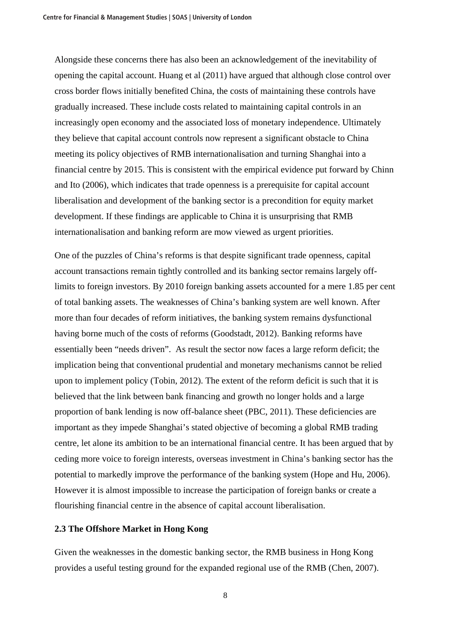Alongside these concerns there has also been an acknowledgement of the inevitability of opening the capital account. Huang et al (2011) have argued that although close control over cross border flows initially benefited China, the costs of maintaining these controls have gradually increased. These include costs related to maintaining capital controls in an increasingly open economy and the associated loss of monetary independence. Ultimately they believe that capital account controls now represent a significant obstacle to China meeting its policy objectives of RMB internationalisation and turning Shanghai into a financial centre by 2015. This is consistent with the empirical evidence put forward by Chinn and Ito (2006), which indicates that trade openness is a prerequisite for capital account liberalisation and development of the banking sector is a precondition for equity market development. If these findings are applicable to China it is unsurprising that RMB internationalisation and banking reform are mow viewed as urgent priorities.

One of the puzzles of China's reforms is that despite significant trade openness, capital account transactions remain tightly controlled and its banking sector remains largely offlimits to foreign investors. By 2010 foreign banking assets accounted for a mere 1.85 per cent of total banking assets. The weaknesses of China's banking system are well known. After more than four decades of reform initiatives, the banking system remains dysfunctional having borne much of the costs of reforms (Goodstadt, 2012). Banking reforms have essentially been "needs driven". As result the sector now faces a large reform deficit; the implication being that conventional prudential and monetary mechanisms cannot be relied upon to implement policy (Tobin, 2012). The extent of the reform deficit is such that it is believed that the link between bank financing and growth no longer holds and a large proportion of bank lending is now off-balance sheet (PBC, 2011). These deficiencies are important as they impede Shanghai's stated objective of becoming a global RMB trading centre, let alone its ambition to be an international financial centre. It has been argued that by ceding more voice to foreign interests, overseas investment in China's banking sector has the potential to markedly improve the performance of the banking system (Hope and Hu, 2006). However it is almost impossible to increase the participation of foreign banks or create a flourishing financial centre in the absence of capital account liberalisation.

# **2.3 The Offshore Market in Hong Kong**

Given the weaknesses in the domestic banking sector, the RMB business in Hong Kong provides a useful testing ground for the expanded regional use of the RMB (Chen, 2007).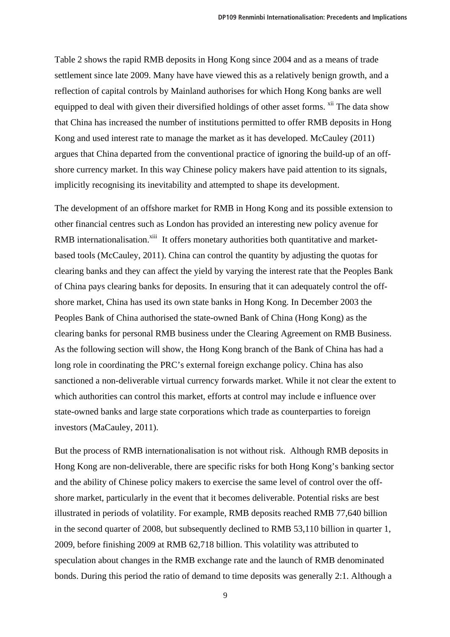Table 2 shows the rapid RMB deposits in Hong Kong since 2004 and as a means of trade settlement since late 2009. Many have have viewed this as a relatively benign growth, and a reflection of capital controls by Mainland authorises for which Hong Kong banks are well equipped to deal with given their diversified holdings of other asset forms. <sup>xii</sup> The data show that China has increased the number of institutions permitted to offer RMB deposits in Hong Kong and used interest rate to manage the market as it has developed. McCauley (2011) argues that China departed from the conventional practice of ignoring the build-up of an offshore currency market. In this way Chinese policy makers have paid attention to its signals, implicitly recognising its inevitability and attempted to shape its development.

The development of an offshore market for RMB in Hong Kong and its possible extension to other financial centres such as London has provided an interesting new policy avenue for RMB internationalisation.<sup>xiii</sup> It offers monetary authorities both quantitative and marketbased tools (McCauley, 2011). China can control the quantity by adjusting the quotas for clearing banks and they can affect the yield by varying the interest rate that the Peoples Bank of China pays clearing banks for deposits. In ensuring that it can adequately control the offshore market, China has used its own state banks in Hong Kong. In December 2003 the Peoples Bank of China authorised the state-owned Bank of China (Hong Kong) as the clearing banks for personal RMB business under the Clearing Agreement on RMB Business. As the following section will show, the Hong Kong branch of the Bank of China has had a long role in coordinating the PRC's external foreign exchange policy. China has also sanctioned a non-deliverable virtual currency forwards market. While it not clear the extent to which authorities can control this market, efforts at control may include e influence over state-owned banks and large state corporations which trade as counterparties to foreign investors (MaCauley, 2011).

But the process of RMB internationalisation is not without risk. Although RMB deposits in Hong Kong are non-deliverable, there are specific risks for both Hong Kong's banking sector and the ability of Chinese policy makers to exercise the same level of control over the offshore market, particularly in the event that it becomes deliverable. Potential risks are best illustrated in periods of volatility. For example, RMB deposits reached RMB 77,640 billion in the second quarter of 2008, but subsequently declined to RMB 53,110 billion in quarter 1, 2009, before finishing 2009 at RMB 62,718 billion. This volatility was attributed to speculation about changes in the RMB exchange rate and the launch of RMB denominated bonds. During this period the ratio of demand to time deposits was generally 2:1. Although a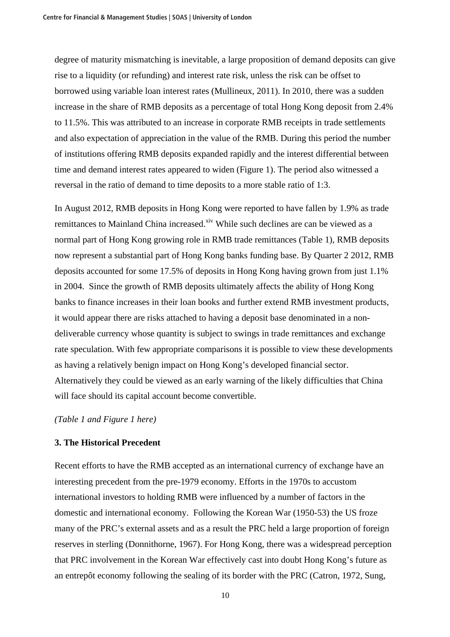degree of maturity mismatching is inevitable, a large proposition of demand deposits can give rise to a liquidity (or refunding) and interest rate risk, unless the risk can be offset to borrowed using variable loan interest rates (Mullineux, 2011). In 2010, there was a sudden increase in the share of RMB deposits as a percentage of total Hong Kong deposit from 2.4% to 11.5%. This was attributed to an increase in corporate RMB receipts in trade settlements and also expectation of appreciation in the value of the RMB. During this period the number of institutions offering RMB deposits expanded rapidly and the interest differential between time and demand interest rates appeared to widen (Figure 1). The period also witnessed a reversal in the ratio of demand to time deposits to a more stable ratio of 1:3.

In August 2012, RMB deposits in Hong Kong were reported to have fallen by 1.9% as trade remittances to Mainland China increased.<sup>xiv</sup> While such declines are can be viewed as a normal part of Hong Kong growing role in RMB trade remittances (Table 1), RMB deposits now represent a substantial part of Hong Kong banks funding base. By Quarter 2 2012, RMB deposits accounted for some 17.5% of deposits in Hong Kong having grown from just 1.1% in 2004. Since the growth of RMB deposits ultimately affects the ability of Hong Kong banks to finance increases in their loan books and further extend RMB investment products, it would appear there are risks attached to having a deposit base denominated in a nondeliverable currency whose quantity is subject to swings in trade remittances and exchange rate speculation. With few appropriate comparisons it is possible to view these developments as having a relatively benign impact on Hong Kong's developed financial sector. Alternatively they could be viewed as an early warning of the likely difficulties that China will face should its capital account become convertible.

### *(Table 1 and Figure 1 here)*

# **3. The Historical Precedent**

Recent efforts to have the RMB accepted as an international currency of exchange have an interesting precedent from the pre-1979 economy. Efforts in the 1970s to accustom international investors to holding RMB were influenced by a number of factors in the domestic and international economy. Following the Korean War (1950-53) the US froze many of the PRC's external assets and as a result the PRC held a large proportion of foreign reserves in sterling (Donnithorne, 1967). For Hong Kong, there was a widespread perception that PRC involvement in the Korean War effectively cast into doubt Hong Kong's future as an entrepôt economy following the sealing of its border with the PRC (Catron, 1972, Sung,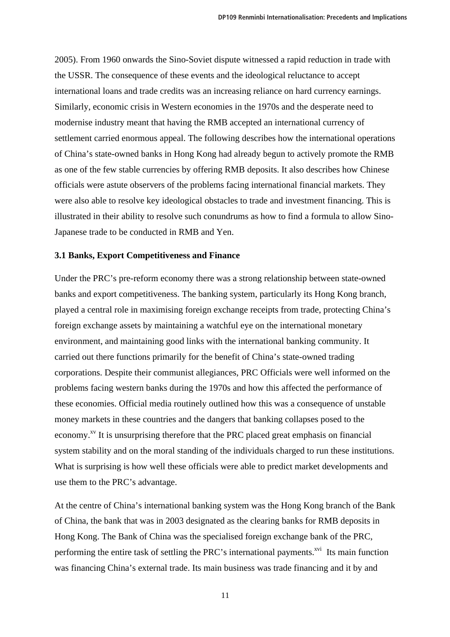2005). From 1960 onwards the Sino-Soviet dispute witnessed a rapid reduction in trade with the USSR. The consequence of these events and the ideological reluctance to accept international loans and trade credits was an increasing reliance on hard currency earnings. Similarly, economic crisis in Western economies in the 1970s and the desperate need to modernise industry meant that having the RMB accepted an international currency of settlement carried enormous appeal. The following describes how the international operations of China's state-owned banks in Hong Kong had already begun to actively promote the RMB as one of the few stable currencies by offering RMB deposits. It also describes how Chinese officials were astute observers of the problems facing international financial markets. They were also able to resolve key ideological obstacles to trade and investment financing. This is illustrated in their ability to resolve such conundrums as how to find a formula to allow Sino-Japanese trade to be conducted in RMB and Yen.

#### **3.1 Banks, Export Competitiveness and Finance**

Under the PRC's pre-reform economy there was a strong relationship between state-owned banks and export competitiveness. The banking system, particularly its Hong Kong branch, played a central role in maximising foreign exchange receipts from trade, protecting China's foreign exchange assets by maintaining a watchful eye on the international monetary environment, and maintaining good links with the international banking community. It carried out there functions primarily for the benefit of China's state-owned trading corporations. Despite their communist allegiances, PRC Officials were well informed on the problems facing western banks during the 1970s and how this affected the performance of these economies. Official media routinely outlined how this was a consequence of unstable money markets in these countries and the dangers that banking collapses posed to the economy.<sup>xv</sup> It is unsurprising therefore that the PRC placed great emphasis on financial system stability and on the moral standing of the individuals charged to run these institutions. What is surprising is how well these officials were able to predict market developments and use them to the PRC's advantage.

At the centre of China's international banking system was the Hong Kong branch of the Bank of China, the bank that was in 2003 designated as the clearing banks for RMB deposits in Hong Kong. The Bank of China was the specialised foreign exchange bank of the PRC, performing the entire task of settling the PRC's international payments.<sup>xvi</sup> Its main function was financing China's external trade. Its main business was trade financing and it by and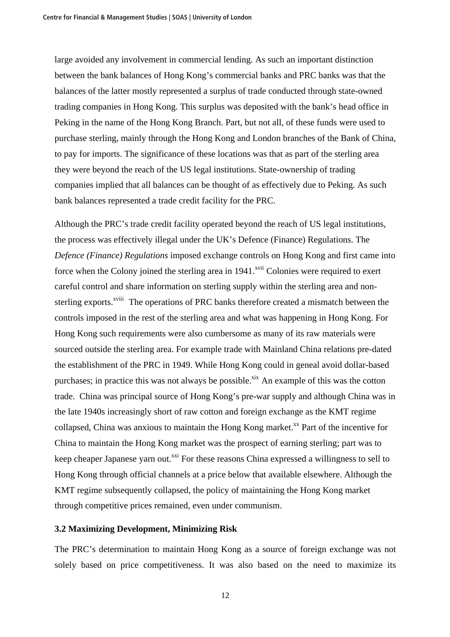large avoided any involvement in commercial lending. As such an important distinction between the bank balances of Hong Kong's commercial banks and PRC banks was that the balances of the latter mostly represented a surplus of trade conducted through state-owned trading companies in Hong Kong. This surplus was deposited with the bank's head office in Peking in the name of the Hong Kong Branch. Part, but not all, of these funds were used to purchase sterling, mainly through the Hong Kong and London branches of the Bank of China, to pay for imports. The significance of these locations was that as part of the sterling area they were beyond the reach of the US legal institutions. State-ownership of trading companies implied that all balances can be thought of as effectively due to Peking. As such bank balances represented a trade credit facility for the PRC.

Although the PRC's trade credit facility operated beyond the reach of US legal institutions, the process was effectively illegal under the UK's Defence (Finance) Regulations. The *Defence (Finance) Regulations* imposed exchange controls on Hong Kong and first came into force when the Colony joined the sterling area in  $1941$ <sup>xvii</sup> Colonies were required to exert careful control and share information on sterling supply within the sterling area and nonsterling exports.<sup>xviii</sup> The operations of PRC banks therefore created a mismatch between the controls imposed in the rest of the sterling area and what was happening in Hong Kong. For Hong Kong such requirements were also cumbersome as many of its raw materials were sourced outside the sterling area. For example trade with Mainland China relations pre-dated the establishment of the PRC in 1949. While Hong Kong could in geneal avoid dollar-based purchases; in practice this was not always be possible.<sup>xix</sup> An example of this was the cotton trade. China was principal source of Hong Kong's pre-war supply and although China was in the late 1940s increasingly short of raw cotton and foreign exchange as the KMT regime collapsed, China was anxious to maintain the Hong Kong market.<sup>xx</sup> Part of the incentive for China to maintain the Hong Kong market was the prospect of earning sterling; part was to keep cheaper Japanese yarn out.<sup>xxi</sup> For these reasons China expressed a willingness to sell to Hong Kong through official channels at a price below that available elsewhere. Although the KMT regime subsequently collapsed, the policy of maintaining the Hong Kong market through competitive prices remained, even under communism.

# **3.2 Maximizing Development, Minimizing Risk**

The PRC's determination to maintain Hong Kong as a source of foreign exchange was not solely based on price competitiveness. It was also based on the need to maximize its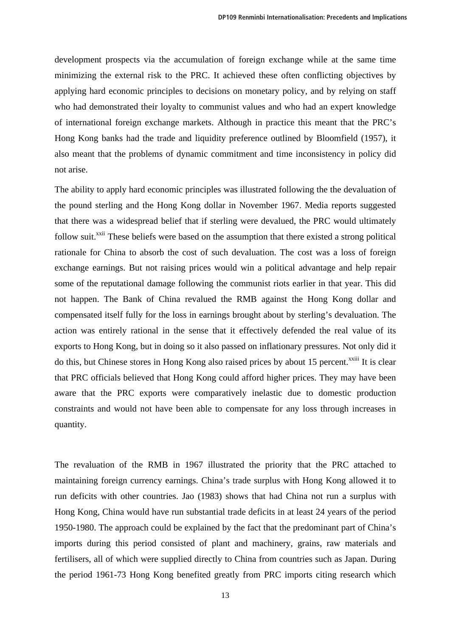development prospects via the accumulation of foreign exchange while at the same time minimizing the external risk to the PRC. It achieved these often conflicting objectives by applying hard economic principles to decisions on monetary policy, and by relying on staff who had demonstrated their loyalty to communist values and who had an expert knowledge of international foreign exchange markets. Although in practice this meant that the PRC's Hong Kong banks had the trade and liquidity preference outlined by Bloomfield (1957), it also meant that the problems of dynamic commitment and time inconsistency in policy did not arise.

The ability to apply hard economic principles was illustrated following the the devaluation of the pound sterling and the Hong Kong dollar in November 1967. Media reports suggested that there was a widespread belief that if sterling were devalued, the PRC would ultimately follow suit.<sup>xxii</sup> These beliefs were based on the assumption that there existed a strong political rationale for China to absorb the cost of such devaluation. The cost was a loss of foreign exchange earnings. But not raising prices would win a political advantage and help repair some of the reputational damage following the communist riots earlier in that year. This did not happen. The Bank of China revalued the RMB against the Hong Kong dollar and compensated itself fully for the loss in earnings brought about by sterling's devaluation. The action was entirely rational in the sense that it effectively defended the real value of its exports to Hong Kong, but in doing so it also passed on inflationary pressures. Not only did it do this, but Chinese stores in Hong Kong also raised prices by about 15 percent.<sup>xxiii</sup> It is clear that PRC officials believed that Hong Kong could afford higher prices. They may have been aware that the PRC exports were comparatively inelastic due to domestic production constraints and would not have been able to compensate for any loss through increases in quantity.

The revaluation of the RMB in 1967 illustrated the priority that the PRC attached to maintaining foreign currency earnings. China's trade surplus with Hong Kong allowed it to run deficits with other countries. Jao (1983) shows that had China not run a surplus with Hong Kong, China would have run substantial trade deficits in at least 24 years of the period 1950-1980. The approach could be explained by the fact that the predominant part of China's imports during this period consisted of plant and machinery, grains, raw materials and fertilisers, all of which were supplied directly to China from countries such as Japan. During the period 1961-73 Hong Kong benefited greatly from PRC imports citing research which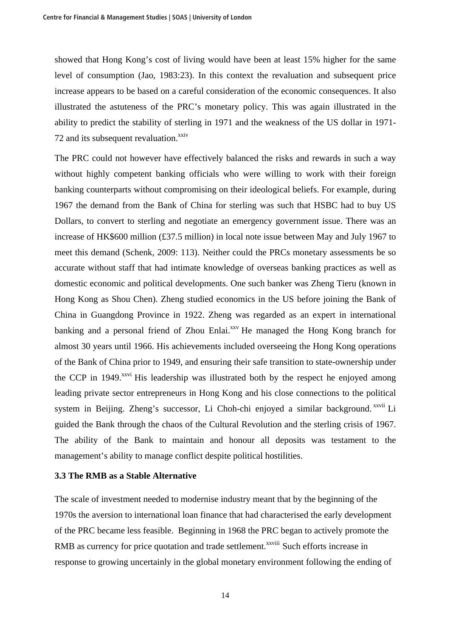showed that Hong Kong's cost of living would have been at least 15% higher for the same level of consumption (Jao, 1983:23). In this context the revaluation and subsequent price increase appears to be based on a careful consideration of the economic consequences. It also illustrated the astuteness of the PRC's monetary policy. This was again illustrated in the ability to predict the stability of sterling in 1971 and the weakness of the US dollar in 1971- 72 and its subsequent revaluation. $^{xxiv}$ 

The PRC could not however have effectively balanced the risks and rewards in such a way without highly competent banking officials who were willing to work with their foreign banking counterparts without compromising on their ideological beliefs. For example, during 1967 the demand from the Bank of China for sterling was such that HSBC had to buy US Dollars, to convert to sterling and negotiate an emergency government issue. There was an increase of HK\$600 million (£37.5 million) in local note issue between May and July 1967 to meet this demand (Schenk, 2009: 113). Neither could the PRCs monetary assessments be so accurate without staff that had intimate knowledge of overseas banking practices as well as domestic economic and political developments. One such banker was Zheng Tieru (known in Hong Kong as Shou Chen). Zheng studied economics in the US before joining the Bank of China in Guangdong Province in 1922. Zheng was regarded as an expert in international banking and a personal friend of Zhou Enlai.<sup>xxv</sup> He managed the Hong Kong branch for almost 30 years until 1966. His achievements included overseeing the Hong Kong operations of the Bank of China prior to 1949, and ensuring their safe transition to state-ownership under the CCP in 1949.<sup>xxvi</sup> His leadership was illustrated both by the respect he enjoyed among leading private sector entrepreneurs in Hong Kong and his close connections to the political system in Beijing. Zheng's successor, Li Choh-chi enjoyed a similar background. XXVII Li guided the Bank through the chaos of the Cultural Revolution and the sterling crisis of 1967. The ability of the Bank to maintain and honour all deposits was testament to the management's ability to manage conflict despite political hostilities.

# **3.3 The RMB as a Stable Alternative**

The scale of investment needed to modernise industry meant that by the beginning of the 1970s the aversion to international loan finance that had characterised the early development of the PRC became less feasible. Beginning in 1968 the PRC began to actively promote the RMB as currency for price quotation and trade settlement.<sup>xxviii</sup> Such efforts increase in response to growing uncertainly in the global monetary environment following the ending of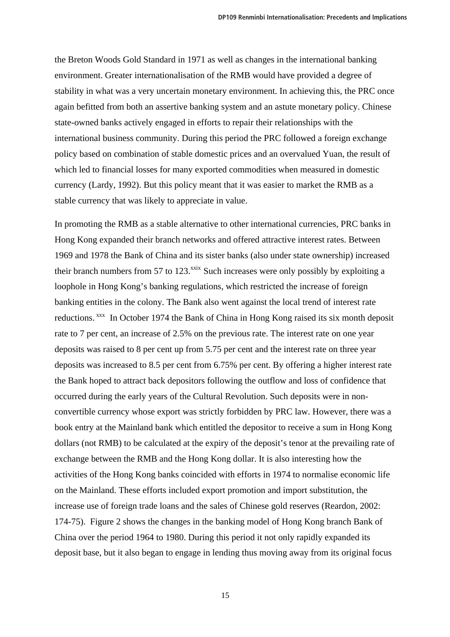the Breton Woods Gold Standard in 1971 as well as changes in the international banking environment. Greater internationalisation of the RMB would have provided a degree of stability in what was a very uncertain monetary environment. In achieving this, the PRC once again befitted from both an assertive banking system and an astute monetary policy. Chinese state-owned banks actively engaged in efforts to repair their relationships with the international business community. During this period the PRC followed a foreign exchange policy based on combination of stable domestic prices and an overvalued Yuan, the result of which led to financial losses for many exported commodities when measured in domestic currency (Lardy, 1992). But this policy meant that it was easier to market the RMB as a stable currency that was likely to appreciate in value.

In promoting the RMB as a stable alternative to other international currencies, PRC banks in Hong Kong expanded their branch networks and offered attractive interest rates. Between 1969 and 1978 the Bank of China and its sister banks (also under state ownership) increased their branch numbers from 57 to 123.<sup>xxix</sup> Such increases were only possibly by exploiting a loophole in Hong Kong's banking regulations, which restricted the increase of foreign banking entities in the colony. The Bank also went against the local trend of interest rate reductions.<sup>xxx</sup> In October 1974 the Bank of China in Hong Kong raised its six month deposit rate to 7 per cent, an increase of 2.5% on the previous rate. The interest rate on one year deposits was raised to 8 per cent up from 5.75 per cent and the interest rate on three year deposits was increased to 8.5 per cent from 6.75% per cent. By offering a higher interest rate the Bank hoped to attract back depositors following the outflow and loss of confidence that occurred during the early years of the Cultural Revolution. Such deposits were in nonconvertible currency whose export was strictly forbidden by PRC law. However, there was a book entry at the Mainland bank which entitled the depositor to receive a sum in Hong Kong dollars (not RMB) to be calculated at the expiry of the deposit's tenor at the prevailing rate of exchange between the RMB and the Hong Kong dollar. It is also interesting how the activities of the Hong Kong banks coincided with efforts in 1974 to normalise economic life on the Mainland. These efforts included export promotion and import substitution, the increase use of foreign trade loans and the sales of Chinese gold reserves (Reardon, 2002: 174-75). Figure 2 shows the changes in the banking model of Hong Kong branch Bank of China over the period 1964 to 1980. During this period it not only rapidly expanded its deposit base, but it also began to engage in lending thus moving away from its original focus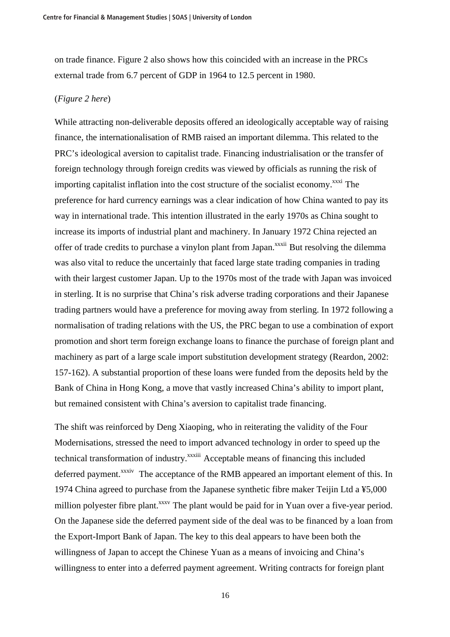on trade finance. Figure 2 also shows how this coincided with an increase in the PRCs external trade from 6.7 percent of GDP in 1964 to 12.5 percent in 1980.

#### (*Figure 2 here*)

While attracting non-deliverable deposits offered an ideologically acceptable way of raising finance, the internationalisation of RMB raised an important dilemma. This related to the PRC's ideological aversion to capitalist trade. Financing industrialisation or the transfer of foreign technology through foreign credits was viewed by officials as running the risk of importing capitalist inflation into the cost structure of the socialist economy. $^{xxxxi}$  The preference for hard currency earnings was a clear indication of how China wanted to pay its way in international trade. This intention illustrated in the early 1970s as China sought to increase its imports of industrial plant and machinery. In January 1972 China rejected an offer of trade credits to purchase a vinylon plant from Japan.<sup>xxxii</sup> But resolving the dilemma was also vital to reduce the uncertainly that faced large state trading companies in trading with their largest customer Japan. Up to the 1970s most of the trade with Japan was invoiced in sterling. It is no surprise that China's risk adverse trading corporations and their Japanese trading partners would have a preference for moving away from sterling. In 1972 following a normalisation of trading relations with the US, the PRC began to use a combination of export promotion and short term foreign exchange loans to finance the purchase of foreign plant and machinery as part of a large scale import substitution development strategy (Reardon, 2002: 157-162). A substantial proportion of these loans were funded from the deposits held by the Bank of China in Hong Kong, a move that vastly increased China's ability to import plant, but remained consistent with China's aversion to capitalist trade financing.

The shift was reinforced by Deng Xiaoping, who in reiterating the validity of the Four Modernisations, stressed the need to import advanced technology in order to speed up the technical transformation of industry.<sup>xxxiii</sup> Acceptable means of financing this included deferred payment.<sup>xxxiv</sup> The acceptance of the RMB appeared an important element of this. In 1974 China agreed to purchase from the Japanese synthetic fibre maker Teijin Ltd a ¥5,000 million polyester fibre plant.<sup>xxxv</sup> The plant would be paid for in Yuan over a five-year period. On the Japanese side the deferred payment side of the deal was to be financed by a loan from the Export-Import Bank of Japan. The key to this deal appears to have been both the willingness of Japan to accept the Chinese Yuan as a means of invoicing and China's willingness to enter into a deferred payment agreement. Writing contracts for foreign plant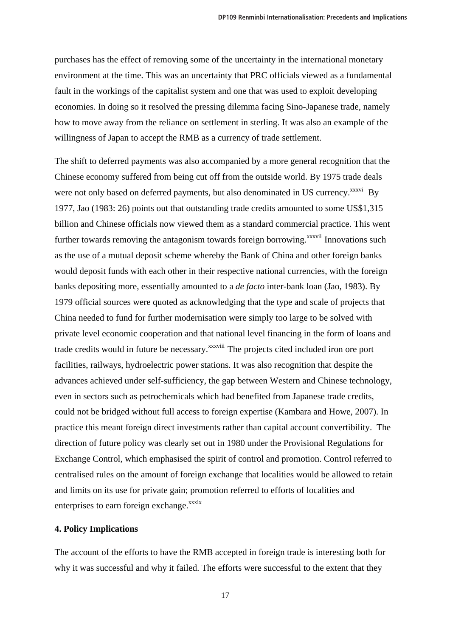purchases has the effect of removing some of the uncertainty in the international monetary environment at the time. This was an uncertainty that PRC officials viewed as a fundamental fault in the workings of the capitalist system and one that was used to exploit developing economies. In doing so it resolved the pressing dilemma facing Sino-Japanese trade, namely how to move away from the reliance on settlement in sterling. It was also an example of the willingness of Japan to accept the RMB as a currency of trade settlement.

The shift to deferred payments was also accompanied by a more general recognition that the Chinese economy suffered from being cut off from the outside world. By 1975 trade deals were not only based on deferred payments, but also denominated in US currency.<sup>xxxvi</sup> By 1977, Jao (1983: 26) points out that outstanding trade credits amounted to some US\$1,315 billion and Chinese officials now viewed them as a standard commercial practice. This went further towards removing the antagonism towards foreign borrowing.<sup>xxxvii</sup> Innovations such as the use of a mutual deposit scheme whereby the Bank of China and other foreign banks would deposit funds with each other in their respective national currencies, with the foreign banks depositing more, essentially amounted to a *de facto* inter-bank loan (Jao, 1983). By 1979 official sources were quoted as acknowledging that the type and scale of projects that China needed to fund for further modernisation were simply too large to be solved with private level economic cooperation and that national level financing in the form of loans and trade credits would in future be necessary.<sup>xxxviii</sup> The projects cited included iron ore port facilities, railways, hydroelectric power stations. It was also recognition that despite the advances achieved under self-sufficiency, the gap between Western and Chinese technology, even in sectors such as petrochemicals which had benefited from Japanese trade credits, could not be bridged without full access to foreign expertise (Kambara and Howe, 2007). In practice this meant foreign direct investments rather than capital account convertibility. The direction of future policy was clearly set out in 1980 under the Provisional Regulations for Exchange Control, which emphasised the spirit of control and promotion. Control referred to centralised rules on the amount of foreign exchange that localities would be allowed to retain and limits on its use for private gain; promotion referred to efforts of localities and enterprises to earn foreign exchange.<sup>xxxix</sup>

# **4. Policy Implications**

The account of the efforts to have the RMB accepted in foreign trade is interesting both for why it was successful and why it failed. The efforts were successful to the extent that they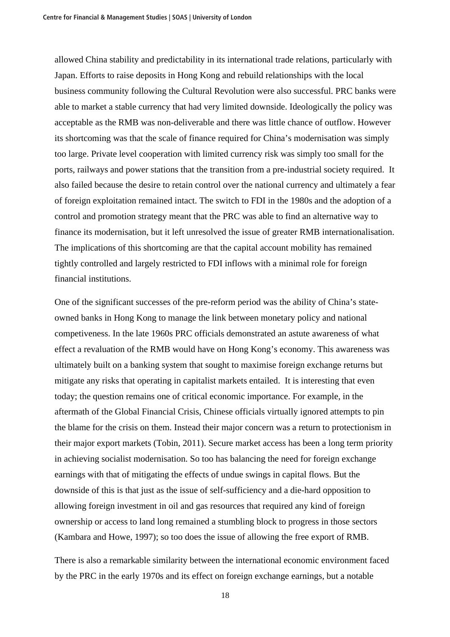allowed China stability and predictability in its international trade relations, particularly with Japan. Efforts to raise deposits in Hong Kong and rebuild relationships with the local business community following the Cultural Revolution were also successful. PRC banks were able to market a stable currency that had very limited downside. Ideologically the policy was acceptable as the RMB was non-deliverable and there was little chance of outflow. However its shortcoming was that the scale of finance required for China's modernisation was simply too large. Private level cooperation with limited currency risk was simply too small for the ports, railways and power stations that the transition from a pre-industrial society required. It also failed because the desire to retain control over the national currency and ultimately a fear of foreign exploitation remained intact. The switch to FDI in the 1980s and the adoption of a control and promotion strategy meant that the PRC was able to find an alternative way to finance its modernisation, but it left unresolved the issue of greater RMB internationalisation. The implications of this shortcoming are that the capital account mobility has remained tightly controlled and largely restricted to FDI inflows with a minimal role for foreign financial institutions.

One of the significant successes of the pre-reform period was the ability of China's stateowned banks in Hong Kong to manage the link between monetary policy and national competiveness. In the late 1960s PRC officials demonstrated an astute awareness of what effect a revaluation of the RMB would have on Hong Kong's economy. This awareness was ultimately built on a banking system that sought to maximise foreign exchange returns but mitigate any risks that operating in capitalist markets entailed. It is interesting that even today; the question remains one of critical economic importance. For example, in the aftermath of the Global Financial Crisis, Chinese officials virtually ignored attempts to pin the blame for the crisis on them. Instead their major concern was a return to protectionism in their major export markets (Tobin, 2011). Secure market access has been a long term priority in achieving socialist modernisation. So too has balancing the need for foreign exchange earnings with that of mitigating the effects of undue swings in capital flows. But the downside of this is that just as the issue of self-sufficiency and a die-hard opposition to allowing foreign investment in oil and gas resources that required any kind of foreign ownership or access to land long remained a stumbling block to progress in those sectors (Kambara and Howe, 1997); so too does the issue of allowing the free export of RMB.

There is also a remarkable similarity between the international economic environment faced by the PRC in the early 1970s and its effect on foreign exchange earnings, but a notable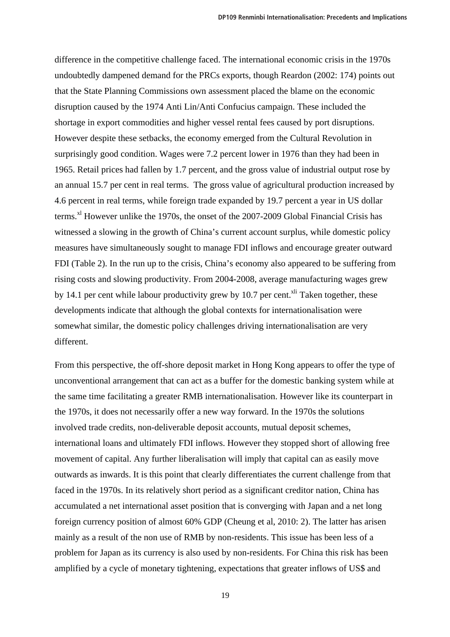difference in the competitive challenge faced. The international economic crisis in the 1970s undoubtedly dampened demand for the PRCs exports, though Reardon (2002: 174) points out that the State Planning Commissions own assessment placed the blame on the economic disruption caused by the 1974 Anti Lin/Anti Confucius campaign. These included the shortage in export commodities and higher vessel rental fees caused by port disruptions. However despite these setbacks, the economy emerged from the Cultural Revolution in surprisingly good condition. Wages were 7.2 percent lower in 1976 than they had been in 1965. Retail prices had fallen by 1.7 percent, and the gross value of industrial output rose by an annual 15.7 per cent in real terms. The gross value of agricultural production increased by 4.6 percent in real terms, while foreign trade expanded by 19.7 percent a year in US dollar terms. $x<sup>1</sup>$  However unlike the 1970s, the onset of the 2007-2009 Global Financial Crisis has witnessed a slowing in the growth of China's current account surplus, while domestic policy measures have simultaneously sought to manage FDI inflows and encourage greater outward FDI (Table 2). In the run up to the crisis, China's economy also appeared to be suffering from rising costs and slowing productivity. From 2004-2008, average manufacturing wages grew by 14.1 per cent while labour productivity grew by 10.7 per cent.<sup>xli</sup> Taken together, these developments indicate that although the global contexts for internationalisation were somewhat similar, the domestic policy challenges driving internationalisation are very different.

From this perspective, the off-shore deposit market in Hong Kong appears to offer the type of unconventional arrangement that can act as a buffer for the domestic banking system while at the same time facilitating a greater RMB internationalisation. However like its counterpart in the 1970s, it does not necessarily offer a new way forward. In the 1970s the solutions involved trade credits, non-deliverable deposit accounts, mutual deposit schemes, international loans and ultimately FDI inflows. However they stopped short of allowing free movement of capital. Any further liberalisation will imply that capital can as easily move outwards as inwards. It is this point that clearly differentiates the current challenge from that faced in the 1970s. In its relatively short period as a significant creditor nation, China has accumulated a net international asset position that is converging with Japan and a net long foreign currency position of almost 60% GDP (Cheung et al, 2010: 2). The latter has arisen mainly as a result of the non use of RMB by non-residents. This issue has been less of a problem for Japan as its currency is also used by non-residents. For China this risk has been amplified by a cycle of monetary tightening, expectations that greater inflows of US\$ and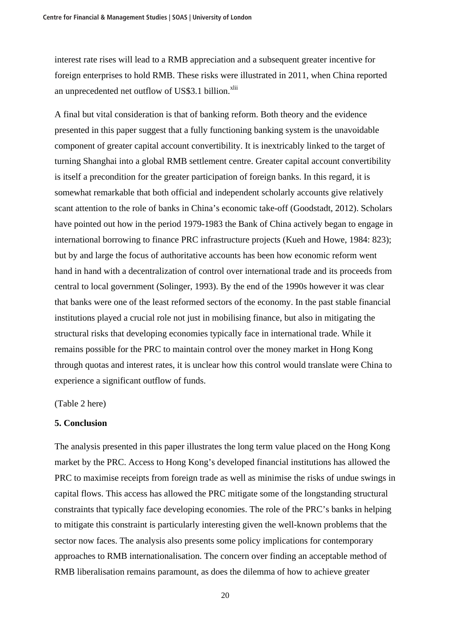interest rate rises will lead to a RMB appreciation and a subsequent greater incentive for foreign enterprises to hold RMB. These risks were illustrated in 2011, when China reported an unprecedented net outflow of US\$3.1 billion.<sup>xlii</sup>

A final but vital consideration is that of banking reform. Both theory and the evidence presented in this paper suggest that a fully functioning banking system is the unavoidable component of greater capital account convertibility. It is inextricably linked to the target of turning Shanghai into a global RMB settlement centre. Greater capital account convertibility is itself a precondition for the greater participation of foreign banks. In this regard, it is somewhat remarkable that both official and independent scholarly accounts give relatively scant attention to the role of banks in China's economic take-off (Goodstadt, 2012). Scholars have pointed out how in the period 1979-1983 the Bank of China actively began to engage in international borrowing to finance PRC infrastructure projects (Kueh and Howe, 1984: 823); but by and large the focus of authoritative accounts has been how economic reform went hand in hand with a decentralization of control over international trade and its proceeds from central to local government (Solinger, 1993). By the end of the 1990s however it was clear that banks were one of the least reformed sectors of the economy. In the past stable financial institutions played a crucial role not just in mobilising finance, but also in mitigating the structural risks that developing economies typically face in international trade. While it remains possible for the PRC to maintain control over the money market in Hong Kong through quotas and interest rates, it is unclear how this control would translate were China to experience a significant outflow of funds.

(Table 2 here)

#### **5. Conclusion**

The analysis presented in this paper illustrates the long term value placed on the Hong Kong market by the PRC. Access to Hong Kong's developed financial institutions has allowed the PRC to maximise receipts from foreign trade as well as minimise the risks of undue swings in capital flows. This access has allowed the PRC mitigate some of the longstanding structural constraints that typically face developing economies. The role of the PRC's banks in helping to mitigate this constraint is particularly interesting given the well-known problems that the sector now faces. The analysis also presents some policy implications for contemporary approaches to RMB internationalisation. The concern over finding an acceptable method of RMB liberalisation remains paramount, as does the dilemma of how to achieve greater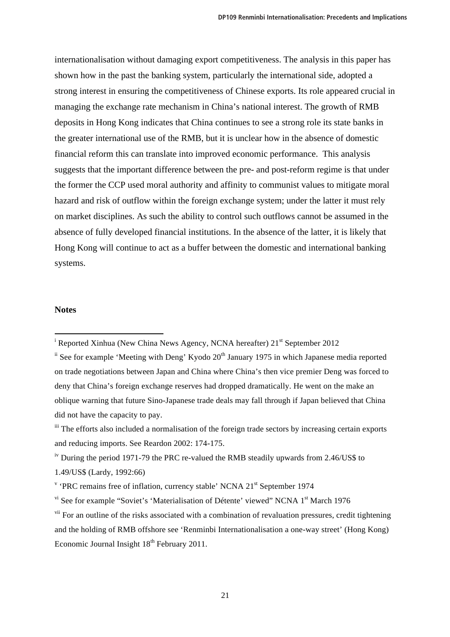internationalisation without damaging export competitiveness. The analysis in this paper has shown how in the past the banking system, particularly the international side, adopted a strong interest in ensuring the competitiveness of Chinese exports. Its role appeared crucial in managing the exchange rate mechanism in China's national interest. The growth of RMB deposits in Hong Kong indicates that China continues to see a strong role its state banks in the greater international use of the RMB, but it is unclear how in the absence of domestic financial reform this can translate into improved economic performance. This analysis suggests that the important difference between the pre- and post-reform regime is that under the former the CCP used moral authority and affinity to communist values to mitigate moral hazard and risk of outflow within the foreign exchange system; under the latter it must rely on market disciplines. As such the ability to control such outflows cannot be assumed in the absence of fully developed financial institutions. In the absence of the latter, it is likely that Hong Kong will continue to act as a buffer between the domestic and international banking systems.

### **Notes**

<u> 1989 - Johann Stein, fransk politik (d. 1989)</u>

<sup>&</sup>lt;sup>i</sup> Reported Xinhua (New China News Agency, NCNA hereafter) 21<sup>st</sup> September 2012

 $\mu$ <sup>ii</sup> See for example 'Meeting with Deng' Kyodo 20<sup>th</sup> January 1975 in which Japanese media reported on trade negotiations between Japan and China where China's then vice premier Deng was forced to deny that China's foreign exchange reserves had dropped dramatically. He went on the make an oblique warning that future Sino-Japanese trade deals may fall through if Japan believed that China did not have the capacity to pay.

<sup>&</sup>lt;sup>iii</sup> The efforts also included a normalisation of the foreign trade sectors by increasing certain exports and reducing imports. See Reardon 2002: 174-175.

 $\frac{1}{2}$ <sup>iv</sup> During the period 1971-79 the PRC re-valued the RMB steadily upwards from 2.46/US\$ to 1.49/US\$ (Lardy, 1992:66)

 $v$  'PRC remains free of inflation, currency stable' NCNA 21<sup>st</sup> September 1974

<sup>&</sup>lt;sup>vi</sup> See for example "Soviet's 'Materialisation of Détente' viewed" NCNA 1<sup>st</sup> March 1976

<sup>&</sup>lt;sup>vii</sup> For an outline of the risks associated with a combination of revaluation pressures, credit tightening and the holding of RMB offshore see 'Renminbi Internationalisation a one-way street' (Hong Kong) Economic Journal Insight  $18<sup>th</sup>$  February 2011.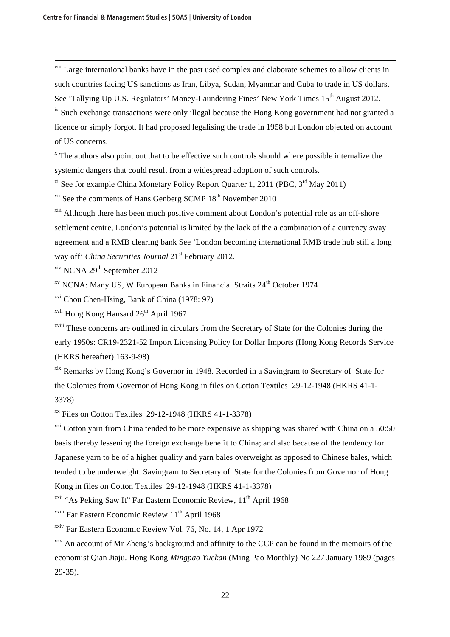<sup>viii</sup> Large international banks have in the past used complex and elaborate schemes to allow clients in such countries facing US sanctions as Iran, Libya, Sudan, Myanmar and Cuba to trade in US dollars. See 'Tallying Up U.S. Regulators' Money-Laundering Fines' New York Times 15<sup>th</sup> August 2012.

<u> 1989 - Johann Stoff, fransk politik (d. 1989)</u>

<sup>ix</sup> Such exchange transactions were only illegal because the Hong Kong government had not granted a licence or simply forgot. It had proposed legalising the trade in 1958 but London objected on account of US concerns.

<sup>x</sup> The authors also point out that to be effective such controls should where possible internalize the systemic dangers that could result from a widespread adoption of such controls.

 $x$ <sup>xi</sup> See for example China Monetary Policy Report Quarter 1, 2011 (PBC,  $3^{rd}$  May 2011)

 $x^{1/2}$  See the comments of Hans Genberg SCMP  $18^{th}$  November 2010

<sup>xiii</sup> Although there has been much positive comment about London's potential role as an off-shore settlement centre, London's potential is limited by the lack of the a combination of a currency sway agreement and a RMB clearing bank See 'London becoming international RMB trade hub still a long way off' *China Securities Journal* 21<sup>st</sup> February 2012.

 $x$ iv NCNA 29<sup>th</sup> September 2012

 $X<sup>xv</sup>$  NCNA: Many US, W European Banks in Financial Straits  $24<sup>th</sup>$  October 1974

xvi Chou Chen-Hsing, Bank of China (1978: 97)

 $xvii$  Hong Kong Hansard  $26<sup>th</sup>$  April 1967

xviii These concerns are outlined in circulars from the Secretary of State for the Colonies during the early 1950s: CR19-2321-52 Import Licensing Policy for Dollar Imports (Hong Kong Records Service (HKRS hereafter) 163-9-98)

<sup>xix</sup> Remarks by Hong Kong's Governor in 1948. Recorded in a Savingram to Secretary of State for the Colonies from Governor of Hong Kong in files on Cotton Textiles 29-12-1948 (HKRS 41-1- 3378)

 $\frac{\text{xx}}{\text{5}}$  Files on Cotton Textiles 29-12-1948 (HKRS 41-1-3378)

 $\frac{xxi}{x}$  Cotton varn from China tended to be more expensive as shipping was shared with China on a 50:50 basis thereby lessening the foreign exchange benefit to China; and also because of the tendency for Japanese yarn to be of a higher quality and yarn bales overweight as opposed to Chinese bales, which tended to be underweight. Savingram to Secretary of State for the Colonies from Governor of Hong Kong in files on Cotton Textiles 29-12-1948 (HKRS 41-1-3378)

 $xxiii$  "As Peking Saw It" Far Eastern Economic Review,  $11<sup>th</sup>$  April 1968

 $x$ <sup>xxiii</sup> Far Eastern Economic Review 11<sup>th</sup> April 1968

xxiv Far Eastern Economic Review Vol. 76, No. 14, 1 Apr 1972

<sup>xxv</sup> An account of Mr Zheng's background and affinity to the CCP can be found in the memoirs of the economist Qian Jiaju. Hong Kong *Mingpao Yuekan* (Ming Pao Monthly) No 227 January 1989 (pages 29-35).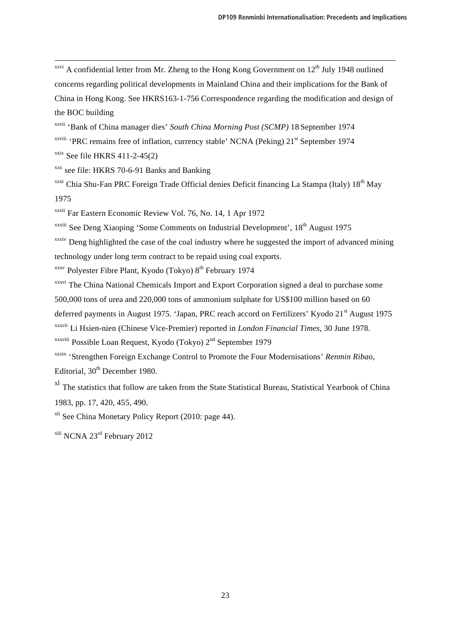<sup>xxvi</sup> A confidential letter from Mr. Zheng to the Hong Kong Government on  $12<sup>th</sup>$  July 1948 outlined concerns regarding political developments in Mainland China and their implications for the Bank of China in Hong Kong. See HKRS163-1-756 Correspondence regarding the modification and design of the BOC building

<u> 1989 - Johann Stoff, fransk politik (d. 1989)</u>

xxvii 'Bank of China manager dies' *South China Morning Post (SCMP)* 18 September 1974  $x$ <sup>xxviii</sup> 'PRC remains free of inflation, currency stable' NCNA (Peking)  $21<sup>st</sup>$  September 1974  $\frac{xxix}{x}$  See file HKRS 411-2-45(2)

 $xxx$  see file: HKRS 70-6-91 Banks and Banking

 $\frac{x}{x}$  Chia Shu-Fan PRC Foreign Trade Official denies Deficit financing La Stampa (Italy) 18<sup>th</sup> May 1975

xxxii Far Eastern Economic Review Vol. 76, No. 14, 1 Apr 1972

 $x$ <sup>xxxiii</sup> See Deng Xiaoping 'Some Comments on Industrial Development',  $18<sup>th</sup>$  August 1975

<sup>xxxiv</sup> Deng highlighted the case of the coal industry where he suggested the import of advanced mining technology under long term contract to be repaid using coal exports.

 $xxxv$  Polyester Fibre Plant, Kyodo (Tokyo)  $8<sup>th</sup>$  February 1974

xxxvi The China National Chemicals Import and Export Corporation signed a deal to purchase some

500,000 tons of urea and 220,000 tons of ammonium sulphate for US\$100 million based on 60

deferred payments in August 1975. 'Japan, PRC reach accord on Fertilizers' Kyodo 21<sup>st</sup> August 1975

xxxvii Li Hsien-nien (Chinese Vice-Premier) reported in *London Financial Times*, 30 June 1978.

 $xxxviii$  Possible Loan Request, Kyodo (Tokyo)  $2<sup>nd</sup>$  September 1979

xxxix 'Strengthen Foreign Exchange Control to Promote the Four Modernisations' *Renmin Ribao*, Editorial, 30<sup>th</sup> December 1980.

xl The statistics that follow are taken from the State Statistical Bureau, Statistical Yearbook of China 1983, pp. 17, 420, 455, 490.

xli See China Monetary Policy Report (2010: page 44).

 $x$ lii NCNA 23 $^{rd}$  February 2012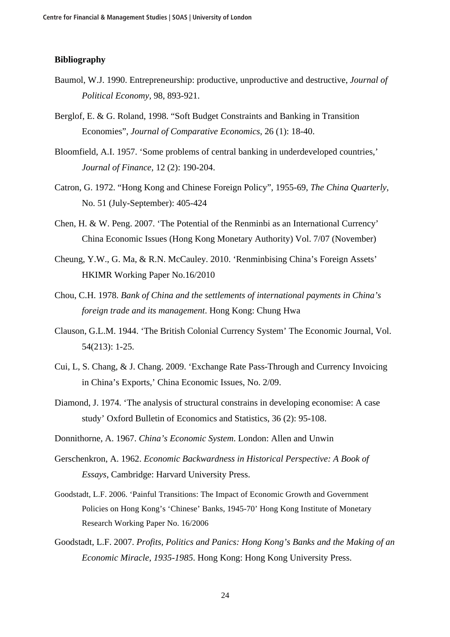### **Bibliography**

- Baumol, W.J. 1990. Entrepreneurship: productive, unproductive and destructive, *Journal of Political Economy,* 98, 893-921.
- Berglof, E. & G. Roland, 1998. "Soft Budget Constraints and Banking in Transition Economies", *Journal of Comparative Economics*, 26 (1): 18-40.
- Bloomfield, A.I. 1957. 'Some problems of central banking in underdeveloped countries,' *Journal of Finance,* 12 (2): 190-204.
- Catron, G. 1972. "Hong Kong and Chinese Foreign Policy", 1955-69, *The China Quarterly*, No. 51 (July-September): 405-424
- Chen, H. & W. Peng. 2007. 'The Potential of the Renminbi as an International Currency' China Economic Issues (Hong Kong Monetary Authority) Vol. 7/07 (November)
- Cheung, Y.W., G. Ma, & R.N. McCauley. 2010. 'Renminbising China's Foreign Assets' HKIMR Working Paper No.16/2010
- Chou, C.H. 1978. *Bank of China and the settlements of international payments in China's foreign trade and its management*. Hong Kong: Chung Hwa
- Clauson, G.L.M. 1944. 'The British Colonial Currency System' The Economic Journal, Vol. 54(213): 1-25.
- Cui, L, S. Chang, & J. Chang. 2009. 'Exchange Rate Pass-Through and Currency Invoicing in China's Exports,' China Economic Issues, No. 2/09.
- Diamond, J. 1974. 'The analysis of structural constrains in developing economise: A case study' Oxford Bulletin of Economics and Statistics, 36 (2): 95-108.
- Donnithorne, A. 1967. *China's Economic System*. London: Allen and Unwin
- Gerschenkron, A. 1962. *Economic Backwardness in Historical Perspective: A Book of Essays*, Cambridge: Harvard University Press.
- Goodstadt, L.F. 2006. 'Painful Transitions: The Impact of Economic Growth and Government Policies on Hong Kong's 'Chinese' Banks, 1945-70' Hong Kong Institute of Monetary Research Working Paper No. 16/2006
- Goodstadt, L.F. 2007. *Profits, Politics and Panics: Hong Kong's Banks and the Making of an Economic Miracle, 1935-1985*. Hong Kong: Hong Kong University Press.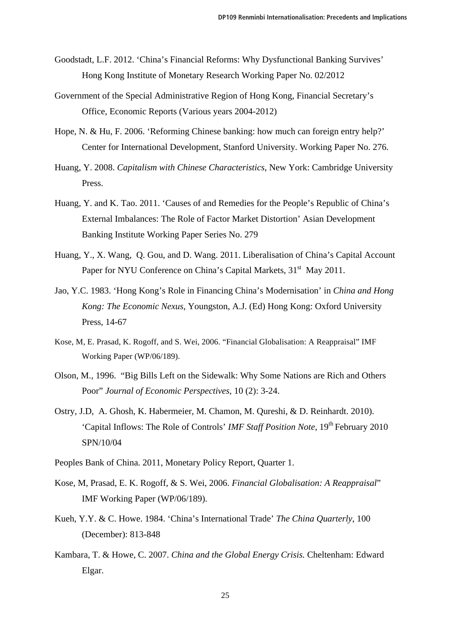- Goodstadt, L.F. 2012. 'China's Financial Reforms: Why Dysfunctional Banking Survives' Hong Kong Institute of Monetary Research Working Paper No. 02/2012
- Government of the Special Administrative Region of Hong Kong, Financial Secretary's Office, Economic Reports (Various years 2004-2012)
- Hope, N. & Hu, F. 2006. 'Reforming Chinese banking: how much can foreign entry help?' Center for International Development, Stanford University. Working Paper No. 276.
- Huang, Y. 2008. *Capitalism with Chinese Characteristics*, New York: Cambridge University Press.
- Huang, Y. and K. Tao. 2011. 'Causes of and Remedies for the People's Republic of China's External Imbalances: The Role of Factor Market Distortion' Asian Development Banking Institute Working Paper Series No. 279
- Huang, Y., X. Wang, Q. Gou, and D. Wang. 2011. Liberalisation of China's Capital Account Paper for NYU Conference on China's Capital Markets,  $31<sup>st</sup>$  May 2011.
- Jao, Y.C. 1983. 'Hong Kong's Role in Financing China's Modernisation' in *China and Hong Kong: The Economic Nexus*, Youngston, A.J. (Ed) Hong Kong: Oxford University Press, 14-67
- Kose, M, E. Prasad, K. Rogoff, and S. Wei, 2006. "Financial Globalisation: A Reappraisal" IMF Working Paper (WP/06/189).
- Olson, M., 1996. "Big Bills Left on the Sidewalk: Why Some Nations are Rich and Others Poor" *Journal of Economic Perspectives*, 10 (2): 3-24.
- Ostry, J.D, A. Ghosh, K. Habermeier, M. Chamon, M. Qureshi, & D. Reinhardt. 2010). 'Capital Inflows: The Role of Controls' *IMF Staff Position Note*, 19<sup>th</sup> February 2010 SPN/10/04
- Peoples Bank of China. 2011, Monetary Policy Report, Quarter 1.
- Kose, M, Prasad, E. K. Rogoff, & S. Wei, 2006. *Financial Globalisation: A Reappraisal*" IMF Working Paper (WP/06/189).
- Kueh, Y.Y. & C. Howe. 1984. 'China's International Trade' *The China Quarterly*, 100 (December): 813-848
- Kambara, T. & Howe, C. 2007. *China and the Global Energy Crisis.* Cheltenham: Edward Elgar.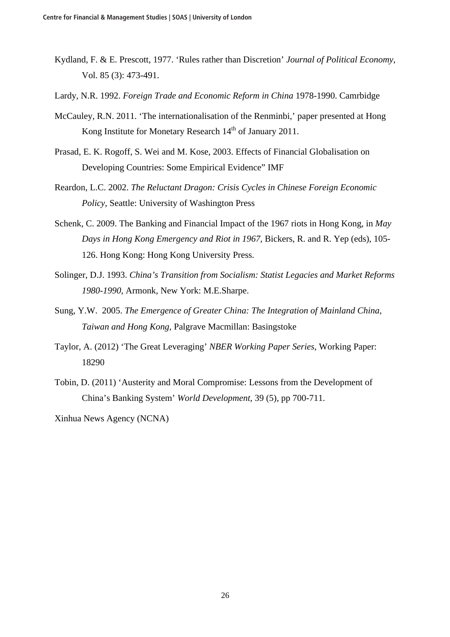- Kydland, F. & E. Prescott, 1977. 'Rules rather than Discretion' *Journal of Political Economy*, Vol. 85 (3): 473-491.
- Lardy, N.R. 1992. *Foreign Trade and Economic Reform in China* 1978-1990. Camrbidge
- McCauley, R.N. 2011. 'The internationalisation of the Renminbi,' paper presented at Hong Kong Institute for Monetary Research  $14<sup>th</sup>$  of January 2011.
- Prasad, E. K. Rogoff, S. Wei and M. Kose, 2003. Effects of Financial Globalisation on Developing Countries: Some Empirical Evidence" IMF
- Reardon, L.C. 2002. *The Reluctant Dragon: Crisis Cycles in Chinese Foreign Economic Policy*, Seattle: University of Washington Press
- Schenk, C. 2009. The Banking and Financial Impact of the 1967 riots in Hong Kong, in *May Days in Hong Kong Emergency and Riot in 1967*, Bickers, R. and R. Yep (eds), 105- 126. Hong Kong: Hong Kong University Press.
- Solinger, D.J. 1993. *China's Transition from Socialism: Statist Legacies and Market Reforms 1980-1990*, Armonk, New York: M.E.Sharpe.
- Sung, Y.W. 2005. *The Emergence of Greater China: The Integration of Mainland China, Taiwan and Hong Kong*, Palgrave Macmillan: Basingstoke
- Taylor, A. (2012) 'The Great Leveraging' *NBER Working Paper Series*, Working Paper: 18290
- Tobin, D. (2011) 'Austerity and Moral Compromise: Lessons from the Development of China's Banking System' *World Development*, 39 (5), pp 700-711.

Xinhua News Agency (NCNA)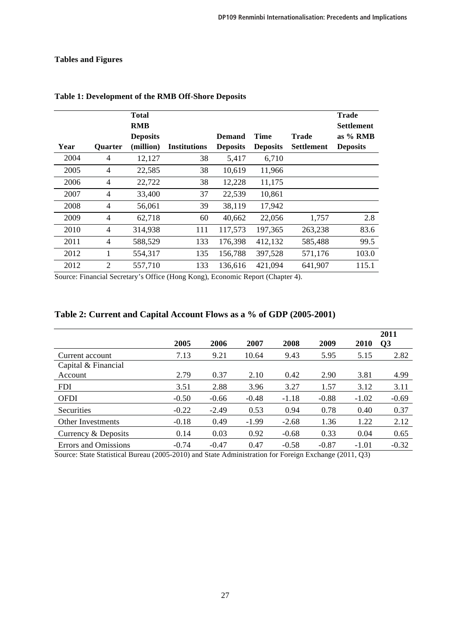# **Tables and Figures**

| Year | <b>Ouarter</b> | <b>Total</b><br><b>RMB</b><br><b>Deposits</b><br>(million) | <b>Institutions</b> | <b>Demand</b><br><b>Deposits</b> | <b>Time</b><br><b>Deposits</b> | <b>Trade</b><br><b>Settlement</b> | <b>Trade</b><br><b>Settlement</b><br>as $%$ RMB<br><b>Deposits</b> |
|------|----------------|------------------------------------------------------------|---------------------|----------------------------------|--------------------------------|-----------------------------------|--------------------------------------------------------------------|
| 2004 | $\overline{4}$ | 12,127                                                     | 38                  | 5,417                            | 6,710                          |                                   |                                                                    |
| 2005 | 4              | 22,585                                                     | 38                  | 10,619                           | 11,966                         |                                   |                                                                    |
| 2006 | $\overline{4}$ | 22,722                                                     | 38                  | 12,228                           | 11,175                         |                                   |                                                                    |
| 2007 | $\overline{4}$ | 33,400                                                     | 37                  | 22,539                           | 10,861                         |                                   |                                                                    |
| 2008 | 4              | 56,061                                                     | 39                  | 38,119                           | 17,942                         |                                   |                                                                    |
| 2009 | $\overline{4}$ | 62,718                                                     | 60                  | 40,662                           | 22,056                         | 1,757                             | 2.8                                                                |
| 2010 | $\overline{4}$ | 314,938                                                    | 111                 | 117,573                          | 197,365                        | 263,238                           | 83.6                                                               |
| 2011 | 4              | 588,529                                                    | 133                 | 176,398                          | 412,132                        | 585,488                           | 99.5                                                               |
| 2012 | 1              | 554,317                                                    | 135                 | 156,788                          | 397,528                        | 571,176                           | 103.0                                                              |
| 2012 | $\overline{2}$ | 557,710                                                    | 133                 | 136.616                          | 421,094                        | 641,907                           | 115.1                                                              |

# **Table 1: Development of the RMB Off-Shore Deposits**

Source: Financial Secretary's Office (Hong Kong), Economic Report (Chapter 4).

# **Table 2: Current and Capital Account Flows as a % of GDP (2005-2001)**

|         |         |         |         |         |         | 2011    |
|---------|---------|---------|---------|---------|---------|---------|
| 2005    | 2006    | 2007    | 2008    | 2009    | 2010    | Q3      |
| 7.13    | 9.21    | 10.64   | 9.43    | 5.95    | 5.15    | 2.82    |
|         |         |         |         |         |         |         |
| 2.79    | 0.37    | 2.10    | 0.42    | 2.90    | 3.81    | 4.99    |
| 3.51    | 2.88    | 3.96    | 3.27    | 1.57    | 3.12    | 3.11    |
| $-0.50$ | $-0.66$ | $-0.48$ | $-1.18$ | $-0.88$ | $-1.02$ | $-0.69$ |
| $-0.22$ | $-2.49$ | 0.53    | 0.94    | 0.78    | 0.40    | 0.37    |
| $-0.18$ | 0.49    | $-1.99$ | $-2.68$ | 1.36    | 1.22    | 2.12    |
| 0.14    | 0.03    | 0.92    | $-0.68$ | 0.33    | 0.04    | 0.65    |
| $-0.74$ | $-0.47$ | 0.47    | $-0.58$ | $-0.87$ | $-1.01$ | $-0.32$ |
|         |         |         |         |         |         |         |

Source: State Statistical Bureau (2005-2010) and State Administration for Foreign Exchange (2011, Q3)